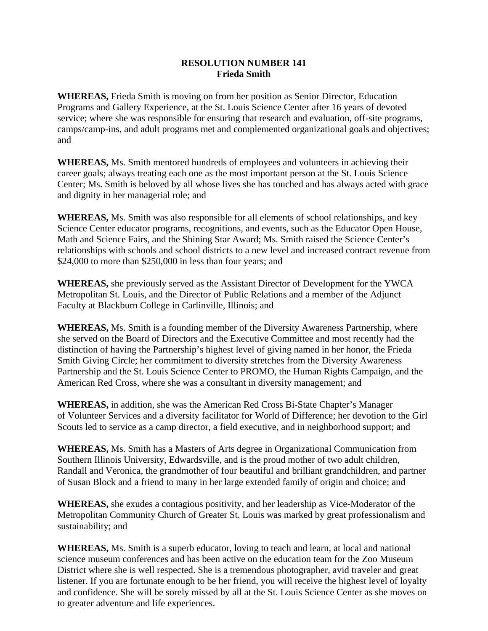## **RESOLUTION NUMBER 141 Frieda Smith**

**WHEREAS,** Frieda Smith is moving on from her position as Senior Director, Education Programs and Gallery Experience, at the St. Louis Science Center after 16 years of devoted service; where she was responsible for ensuring that research and evaluation, off-site programs, camps/camp-ins, and adult programs met and complemented organizational goals and objectives; and

**WHEREAS,** Ms. Smith mentored hundreds of employees and volunteers in achieving their career goals; always treating each one as the most important person at the St. Louis Science Center; Ms. Smith is beloved by all whose lives she has touched and has always acted with grace and dignity in her managerial role; and

**WHEREAS,** Ms. Smith was also responsible for all elements of school relationships, and key Science Center educator programs, recognitions, and events, such as the Educator Open House, Math and Science Fairs, and the Shining Star Award; Ms. Smith raised the Science Center's relationships with schools and school districts to a new level and increased contract revenue from \$24,000 to more than \$250,000 in less than four years; and

**WHEREAS,** she previously served as the Assistant Director of Development for the YWCA Metropolitan St. Louis, and the Director of Public Relations and a member of the Adjunct Faculty at Blackburn College in Carlinville, Illinois; and

**WHEREAS,** Ms. Smith is a founding member of the Diversity Awareness Partnership, where she served on the Board of Directors and the Executive Committee and most recently had the distinction of having the Partnership's highest level of giving named in her honor, the Frieda Smith Giving Circle; her commitment to diversity stretches from the Diversity Awareness Partnership and the St. Louis Science Center to PROMO, the Human Rights Campaign, and the American Red Cross, where she was a consultant in diversity management; and

**WHEREAS,** in addition, she was the American Red Cross Bi-State Chapter's Manager of Volunteer Services and a diversity facilitator for World of Difference; her devotion to the Girl Scouts led to service as a camp director, a field executive, and in neighborhood support; and

**WHEREAS,** Ms. Smith has a Masters of Arts degree in Organizational Communication from Southern Illinois University, Edwardsville, and is the proud mother of two adult children, Randall and Veronica, the grandmother of four beautiful and brilliant grandchildren, and partner of Susan Block and a friend to many in her large extended family of origin and choice; and

**WHEREAS,** she exudes a contagious positivity, and her leadership as Vice-Moderator of the Metropolitan Community Church of Greater St. Louis was marked by great professionalism and sustainability; and

**WHEREAS,** Ms. Smith is a superb educator, loving to teach and learn, at local and national science museum conferences and has been active on the education team for the Zoo Museum District where she is well respected. She is a tremendous photographer, avid traveler and great listener. If you are fortunate enough to be her friend, you will receive the highest level of loyalty and confidence. She will be sorely missed by all at the St. Louis Science Center as she moves on to greater adventure and life experiences.